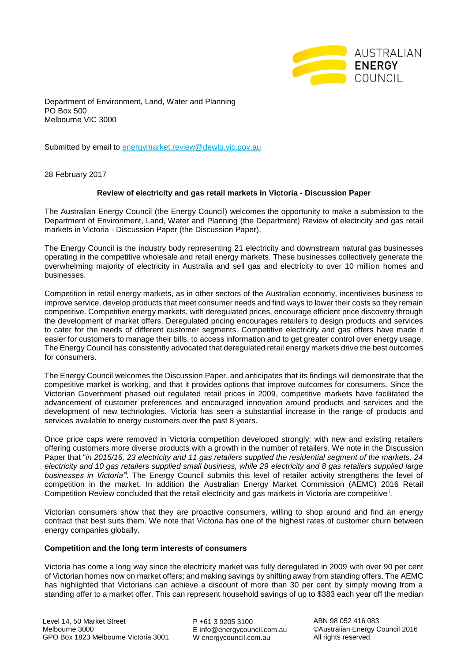

Department of Environment, Land, Water and Planning PO Box 500 Melbourne VIC 3000

Submitted by email to [energymarket.review@dewlp.vic.gov.au](mailto:energymarket.review@dewlp.vic.gov.au)

28 February 2017

# **Review of electricity and gas retail markets in Victoria - Discussion Paper**

The Australian Energy Council (the Energy Council) welcomes the opportunity to make a submission to the Department of Environment, Land, Water and Planning (the Department) Review of electricity and gas retail markets in Victoria - Discussion Paper (the Discussion Paper).

The Energy Council is the industry body representing 21 electricity and downstream natural gas businesses operating in the competitive wholesale and retail energy markets. These businesses collectively generate the overwhelming majority of electricity in Australia and sell gas and electricity to over 10 million homes and businesses.

Competition in retail energy markets, as in other sectors of the Australian economy, incentivises business to improve service, develop products that meet consumer needs and find ways to lower their costs so they remain competitive. Competitive energy markets, with deregulated prices, encourage efficient price discovery through the development of market offers. Deregulated pricing encourages retailers to design products and services to cater for the needs of different customer segments. Competitive electricity and gas offers have made it easier for customers to manage their bills, to access information and to get greater control over energy usage. The Energy Council has consistently advocated that deregulated retail energy markets drive the best outcomes for consumers.

The Energy Council welcomes the Discussion Paper, and anticipates that its findings will demonstrate that the competitive market is working, and that it provides options that improve outcomes for consumers. Since the Victorian Government phased out regulated retail prices in 2009, competitive markets have facilitated the advancement of customer preferences and encouraged innovation around products and services and the development of new technologies. Victoria has seen a substantial increase in the range of products and services available to energy customers over the past 8 years.

Once price caps were removed in Victoria competition developed strongly; with new and existing retailers offering customers more diverse products with a growth in the number of retailers. We note in the Discussion Paper that "*in 2015/16, 23 electricity and 11 gas retailers supplied the residential segment of the markets, 24 electricity and 10 gas retailers supplied small business, while 29 electricity and 8 gas retailers supplied large*  businesses in Victoria<sup>n</sup>. The Energy Council submits this level of retailer activity strengthens the level of competition in the market. In addition the Australian Energy Market Commission (AEMC) 2016 Retail Competition Review concluded that the retail electricity and gas markets in Victoria are competitive<sup>ii</sup>.

Victorian consumers show that they are proactive consumers, willing to shop around and find an energy contract that best suits them. We note that Victoria has one of the highest rates of customer churn between energy companies globally.

### **Competition and the long term interests of consumers**

Victoria has come a long way since the electricity market was fully deregulated in 2009 with over 90 per cent of Victorian homes now on market offers; and making savings by shifting away from standing offers. The AEMC has highlighted that Victorians can achieve a discount of more than 30 per cent by simply moving from a standing offer to a market offer. This can represent household savings of up to \$383 each year off the median

P +61 3 9205 3100 E info@energycouncil.com.au W energycouncil.com.au

ABN 98 052 416 083 ©Australian Energy Council 2016 All rights reserved.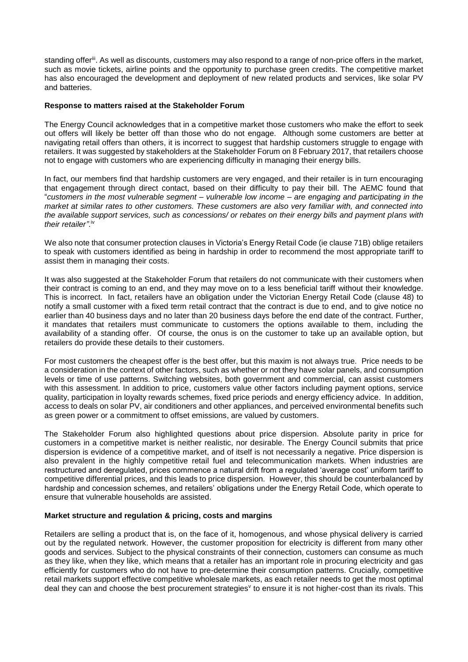standing offer<sup>iii</sup>. As well as discounts, customers may also respond to a range of non-price offers in the market, such as movie tickets, airline points and the opportunity to purchase green credits. The competitive market has also encouraged the development and deployment of new related products and services, like solar PV and batteries.

## **Response to matters raised at the Stakeholder Forum**

The Energy Council acknowledges that in a competitive market those customers who make the effort to seek out offers will likely be better off than those who do not engage. Although some customers are better at navigating retail offers than others, it is incorrect to suggest that hardship customers struggle to engage with retailers. It was suggested by stakeholders at the Stakeholder Forum on 8 February 2017, that retailers choose not to engage with customers who are experiencing difficulty in managing their energy bills.

In fact, our members find that hardship customers are very engaged, and their retailer is in turn encouraging that engagement through direct contact, based on their difficulty to pay their bill. The AEMC found that "*customers in the most vulnerable segment – vulnerable low income – are engaging and participating in the market at similar rates to other customers. These customers are also very familiar with, and connected into the available support services, such as concessions/ or rebates on their energy bills and payment plans with their retailer"*. iv

We also note that consumer protection clauses in Victoria's Energy Retail Code (ie clause 71B) oblige retailers to speak with customers identified as being in hardship in order to recommend the most appropriate tariff to assist them in managing their costs.

It was also suggested at the Stakeholder Forum that retailers do not communicate with their customers when their contract is coming to an end, and they may move on to a less beneficial tariff without their knowledge. This is incorrect. In fact, retailers have an obligation under the Victorian Energy Retail Code (clause 48) to notify a small customer with a fixed term retail contract that the contract is due to end, and to give notice no earlier than 40 business days and no later than 20 business days before the end date of the contract. Further, it mandates that retailers must communicate to customers the options available to them, including the availability of a standing offer. Of course, the onus is on the customer to take up an available option, but retailers do provide these details to their customers.

For most customers the cheapest offer is the best offer, but this maxim is not always true. Price needs to be a consideration in the context of other factors, such as whether or not they have solar panels, and consumption levels or time of use patterns. Switching websites, both government and commercial, can assist customers with this assessment. In addition to price, customers value other factors including payment options, service quality, participation in loyalty rewards schemes, fixed price periods and energy efficiency advice. In addition, access to deals on solar PV, air conditioners and other appliances, and perceived environmental benefits such as green power or a commitment to offset emissions, are valued by customers.

The Stakeholder Forum also highlighted questions about price dispersion. Absolute parity in price for customers in a competitive market is neither realistic, nor desirable. The Energy Council submits that price dispersion is evidence of a competitive market, and of itself is not necessarily a negative. Price dispersion is also prevalent in the highly competitive retail fuel and telecommunication markets. When industries are restructured and deregulated, prices commence a natural drift from a regulated 'average cost' uniform tariff to competitive differential prices, and this leads to price dispersion. However, this should be counterbalanced by hardship and concession schemes, and retailers' obligations under the Energy Retail Code, which operate to ensure that vulnerable households are assisted.

### **Market structure and regulation & pricing, costs and margins**

Retailers are selling a product that is, on the face of it, homogenous, and whose physical delivery is carried out by the regulated network. However, the customer proposition for electricity is different from many other goods and services. Subject to the physical constraints of their connection, customers can consume as much as they like, when they like, which means that a retailer has an important role in procuring electricity and gas efficiently for customers who do not have to pre-determine their consumption patterns. Crucially, competitive retail markets support effective competitive wholesale markets, as each retailer needs to get the most optimal deal they can and choose the best procurement strategies<sup>v</sup> to ensure it is not higher-cost than its rivals. This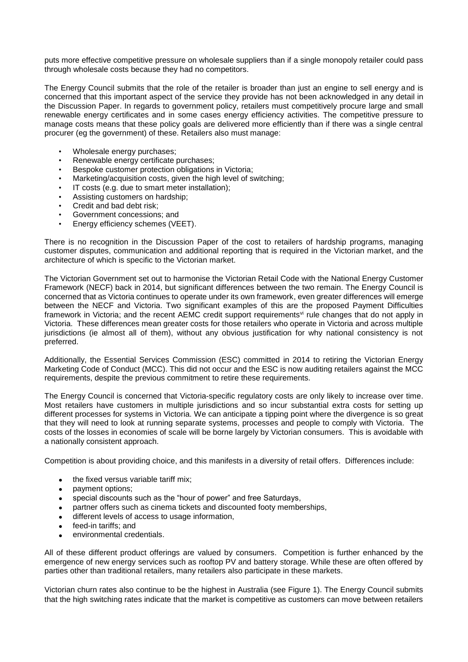puts more effective competitive pressure on wholesale suppliers than if a single monopoly retailer could pass through wholesale costs because they had no competitors.

The Energy Council submits that the role of the retailer is broader than just an engine to sell energy and is concerned that this important aspect of the service they provide has not been acknowledged in any detail in the Discussion Paper. In regards to government policy, retailers must competitively procure large and small renewable energy certificates and in some cases energy efficiency activities. The competitive pressure to manage costs means that these policy goals are delivered more efficiently than if there was a single central procurer (eg the government) of these. Retailers also must manage:

- Wholesale energy purchases;
- Renewable energy certificate purchases;
- Bespoke customer protection obligations in Victoria;
- Marketing/acquisition costs, given the high level of switching:
- IT costs (e.g. due to smart meter installation):
- Assisting customers on hardship;
- Credit and bad debt risk;
- Government concessions; and
- Energy efficiency schemes (VEET).

There is no recognition in the Discussion Paper of the cost to retailers of hardship programs, managing customer disputes, communication and additional reporting that is required in the Victorian market, and the architecture of which is specific to the Victorian market.

The Victorian Government set out to harmonise the Victorian Retail Code with the National Energy Customer Framework (NECF) back in 2014, but significant differences between the two remain. The Energy Council is concerned that as Victoria continues to operate under its own framework, even greater differences will emerge between the NECF and Victoria. Two significant examples of this are the proposed Payment Difficulties framework in Victoria; and the recent AEMC credit support requirements<sup>vi</sup> rule changes that do not apply in Victoria. These differences mean greater costs for those retailers who operate in Victoria and across multiple jurisdictions (ie almost all of them), without any obvious justification for why national consistency is not preferred.

Additionally, the Essential Services Commission (ESC) committed in 2014 to retiring the Victorian Energy Marketing Code of Conduct (MCC). This did not occur and the ESC is now auditing retailers against the MCC requirements, despite the previous commitment to retire these requirements.

The Energy Council is concerned that Victoria-specific regulatory costs are only likely to increase over time. Most retailers have customers in multiple jurisdictions and so incur substantial extra costs for setting up different processes for systems in Victoria. We can anticipate a tipping point where the divergence is so great that they will need to look at running separate systems, processes and people to comply with Victoria. The costs of the losses in economies of scale will be borne largely by Victorian consumers. This is avoidable with a nationally consistent approach.

Competition is about providing choice, and this manifests in a diversity of retail offers. Differences include:

- the fixed versus variable tariff mix:
- payment options;
- special discounts such as the "hour of power" and free Saturdays,
- partner offers such as cinema tickets and discounted footy memberships,
- different levels of access to usage information,
- **•** feed-in tariffs; and
- environmental credentials.

All of these different product offerings are valued by consumers. Competition is further enhanced by the emergence of new energy services such as rooftop PV and battery storage. While these are often offered by parties other than traditional retailers, many retailers also participate in these markets.

Victorian churn rates also continue to be the highest in Australia (see Figure 1). The Energy Council submits that the high switching rates indicate that the market is competitive as customers can move between retailers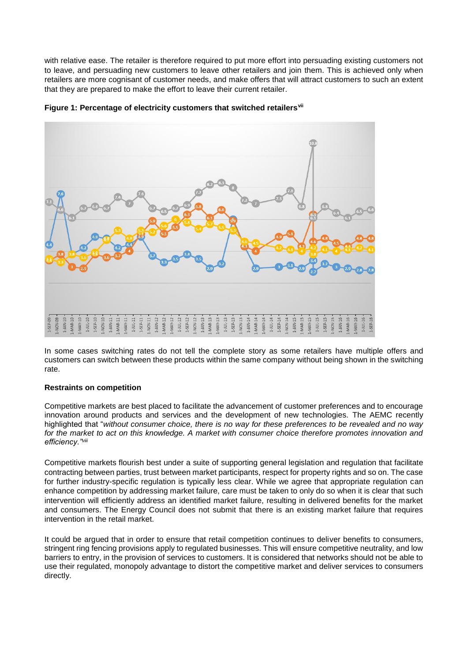with relative ease. The retailer is therefore required to put more effort into persuading existing customers not to leave, and persuading new customers to leave other retailers and join them. This is achieved only when retailers are more cognisant of customer needs, and make offers that will attract customers to such an extent that they are prepared to make the effort to leave their current retailer.



**Figure 1: Percentage of electricity customers that switched retailersvii**

In some cases switching rates do not tell the complete story as some retailers have multiple offers and customers can switch between these products within the same company without being shown in the switching rate.

### **Restraints on competition**

Competitive markets are best placed to facilitate the advancement of customer preferences and to encourage innovation around products and services and the development of new technologies. The AEMC recently highlighted that "*without consumer choice, there is no way for these preferences to be revealed and no way for the market to act on this knowledge. A market with consumer choice therefore promotes innovation and efficiency."viii*

Competitive markets flourish best under a suite of supporting general legislation and regulation that facilitate contracting between parties, trust between market participants, respect for property rights and so on. The case for further industry-specific regulation is typically less clear. While we agree that appropriate regulation can enhance competition by addressing market failure, care must be taken to only do so when it is clear that such intervention will efficiently address an identified market failure, resulting in delivered benefits for the market and consumers. The Energy Council does not submit that there is an existing market failure that requires intervention in the retail market.

It could be argued that in order to ensure that retail competition continues to deliver benefits to consumers, stringent ring fencing provisions apply to regulated businesses. This will ensure competitive neutrality, and low barriers to entry, in the provision of services to customers. It is considered that networks should not be able to use their regulated, monopoly advantage to distort the competitive market and deliver services to consumers directly.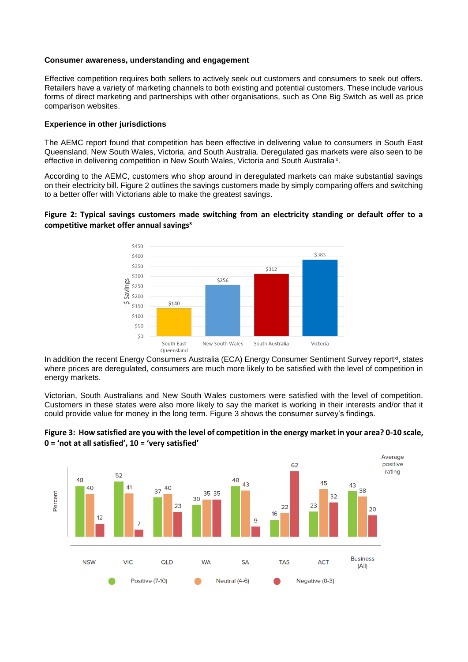#### **Consumer awareness, understanding and engagement**

Effective competition requires both sellers to actively seek out customers and consumers to seek out offers. Retailers have a variety of marketing channels to both existing and potential customers. These include various forms of direct marketing and partnerships with other organisations, such as One Big Switch as well as price comparison websites.

#### **Experience in other jurisdictions**

The AEMC report found that competition has been effective in delivering value to consumers in South East Queensland, New South Wales, Victoria, and South Australia. Deregulated gas markets were also seen to be effective in delivering competition in New South Wales, Victoria and South Australia<sup>ix</sup>.

According to the AEMC, customers who shop around in deregulated markets can make substantial savings on their electricity bill. Figure 2 outlines the savings customers made by simply comparing offers and switching to a better offer with Victorians able to make the greatest savings.

# **Figure 2: Typical savings customers made switching from an electricity standing or default offer to a competitive market offer annual savings<sup>x</sup>**



In addition the recent Energy Consumers Australia (ECA) Energy Consumer Sentiment Survey report<sup>xi</sup>, states where prices are deregulated, consumers are much more likely to be satisfied with the level of competition in energy markets.

Victorian, South Australians and New South Wales customers were satisfied with the level of competition. Customers in these states were also more likely to say the market is working in their interests and/or that it could provide value for money in the long term. Figure 3 shows the consumer survey's findings.



# **Figure 3: How satisfied are you with the level of competition in the energy market in your area? 0-10 scale, 0 = 'not at all satisfied', 10 = 'very satisfied'**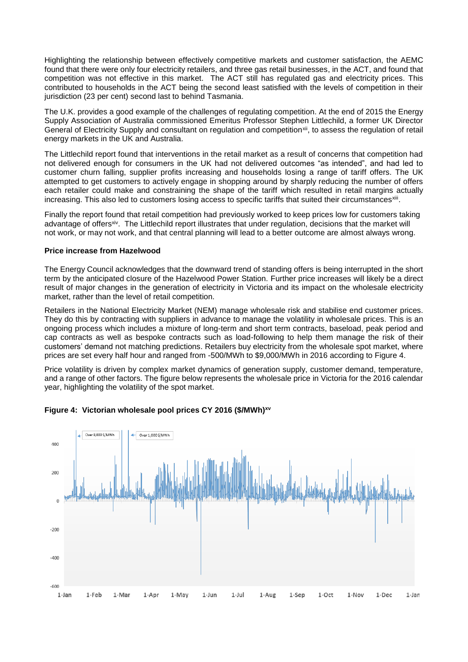Highlighting the relationship between effectively competitive markets and customer satisfaction, the AEMC found that there were only four electricity retailers, and three gas retail businesses, in the ACT, and found that competition was not effective in this market. The ACT still has regulated gas and electricity prices. This contributed to households in the ACT being the second least satisfied with the levels of competition in their jurisdiction (23 per cent) second last to behind Tasmania.

The U.K. provides a good example of the challenges of regulating competition. At the end of 2015 the Energy Supply Association of Australia commissioned Emeritus Professor Stephen Littlechild, a former UK Director General of Electricity Supply and consultant on regulation and competition<sup>xii</sup>, to assess the regulation of retail energy markets in the UK and Australia.

The Littlechild report found that interventions in the retail market as a result of concerns that competition had not delivered enough for consumers in the UK had not delivered outcomes "as intended", and had led to customer churn falling, supplier profits increasing and households losing a range of tariff offers. The UK attempted to get customers to actively engage in shopping around by sharply reducing the number of offers each retailer could make and constraining the shape of the tariff which resulted in retail margins actually increasing. This also led to customers losing access to specific tariffs that suited their circumstances<sup>xiii</sup>.

Finally the report found that retail competition had previously worked to keep prices low for customers taking advantage of offers<sup>xiv</sup>. The Littlechild report illustrates that under regulation, decisions that the market will not work, or may not work, and that central planning will lead to a better outcome are almost always wrong.

## **Price increase from Hazelwood**

The Energy Council acknowledges that the downward trend of standing offers is being interrupted in the short term by the anticipated closure of the Hazelwood Power Station. Further price increases will likely be a direct result of major changes in the generation of electricity in Victoria and its impact on the wholesale electricity market, rather than the level of retail competition.

Retailers in the National Electricity Market (NEM) manage wholesale risk and stabilise end customer prices. They do this by contracting with suppliers in advance to manage the volatility in wholesale prices. This is an ongoing process which includes a mixture of long-term and short term contracts, baseload, peak period and cap contracts as well as bespoke contracts such as load-following to help them manage the risk of their customers' demand not matching predictions. Retailers buy electricity from the wholesale spot market, where prices are set every half hour and ranged from -500/MWh to \$9,000/MWh in 2016 according to Figure 4.

Price volatility is driven by complex market dynamics of generation supply, customer demand, temperature, and a range of other factors. The figure below represents the wholesale price in Victoria for the 2016 calendar year, highlighting the volatility of the spot market.



# **Figure 4: Victorian wholesale pool prices CY 2016 (\$/MWh)xv**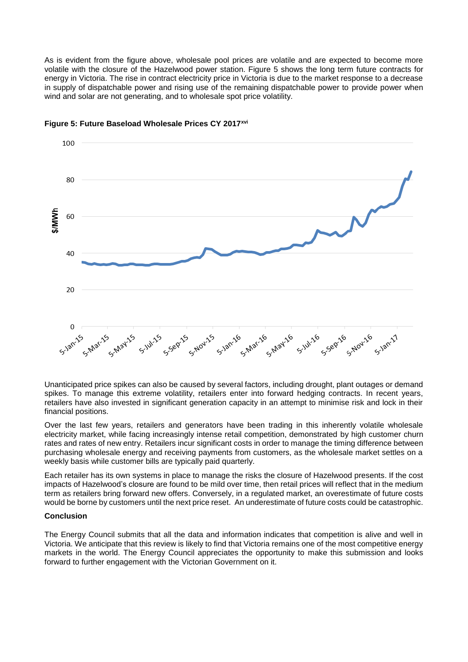As is evident from the figure above, wholesale pool prices are volatile and are expected to become more volatile with the closure of the Hazelwood power station. Figure 5 shows the long term future contracts for energy in Victoria. The rise in contract electricity price in Victoria is due to the market response to a decrease in supply of dispatchable power and rising use of the remaining dispatchable power to provide power when wind and solar are not generating, and to wholesale spot price volatility.



## **Figure 5: Future Baseload Wholesale Prices CY 2017xvi**

Unanticipated price spikes can also be caused by several factors, including drought, plant outages or demand spikes. To manage this extreme volatility, retailers enter into forward hedging contracts. In recent years, retailers have also invested in significant generation capacity in an attempt to minimise risk and lock in their financial positions.

Over the last few years, retailers and generators have been trading in this inherently volatile wholesale electricity market, while facing increasingly intense retail competition, demonstrated by high customer churn rates and rates of new entry. Retailers incur significant costs in order to manage the timing difference between purchasing wholesale energy and receiving payments from customers, as the wholesale market settles on a weekly basis while customer bills are typically paid quarterly.

Each retailer has its own systems in place to manage the risks the closure of Hazelwood presents. If the cost impacts of Hazelwood's closure are found to be mild over time, then retail prices will reflect that in the medium term as retailers bring forward new offers. Conversely, in a regulated market, an overestimate of future costs would be borne by customers until the next price reset. An underestimate of future costs could be catastrophic.

### **Conclusion**

The Energy Council submits that all the data and information indicates that competition is alive and well in Victoria. We anticipate that this review is likely to find that Victoria remains one of the most competitive energy markets in the world. The Energy Council appreciates the opportunity to make this submission and looks forward to further engagement with the Victorian Government on it.